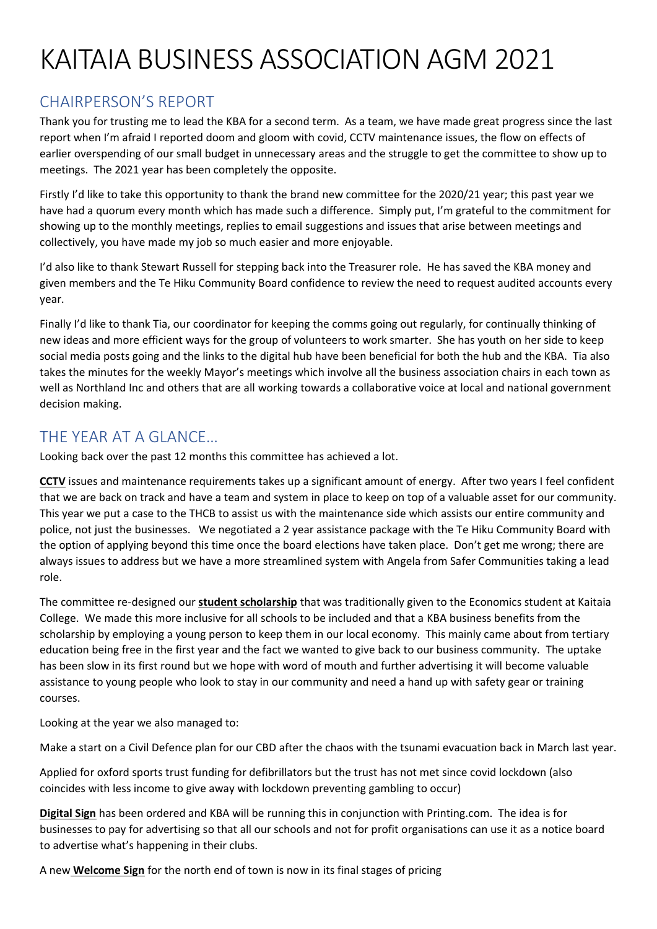## KAITAIA BUSINESS ASSOCIATION AGM 2021

## CHAIRPERSON'S REPORT

Thank you for trusting me to lead the KBA for a second term. As a team, we have made great progress since the last report when I'm afraid I reported doom and gloom with covid, CCTV maintenance issues, the flow on effects of earlier overspending of our small budget in unnecessary areas and the struggle to get the committee to show up to meetings. The 2021 year has been completely the opposite.

Firstly I'd like to take this opportunity to thank the brand new committee for the 2020/21 year; this past year we have had a quorum every month which has made such a difference. Simply put, I'm grateful to the commitment for showing up to the monthly meetings, replies to email suggestions and issues that arise between meetings and collectively, you have made my job so much easier and more enjoyable.

I'd also like to thank Stewart Russell for stepping back into the Treasurer role. He has saved the KBA money and given members and the Te Hiku Community Board confidence to review the need to request audited accounts every year.

Finally I'd like to thank Tia, our coordinator for keeping the comms going out regularly, for continually thinking of new ideas and more efficient ways for the group of volunteers to work smarter. She has youth on her side to keep social media posts going and the links to the digital hub have been beneficial for both the hub and the KBA. Tia also takes the minutes for the weekly Mayor's meetings which involve all the business association chairs in each town as well as Northland Inc and others that are all working towards a collaborative voice at local and national government decision making.

## THE YEAR AT A GLANCE…

Looking back over the past 12 months this committee has achieved a lot.

**CCTV** issues and maintenance requirements takes up a significant amount of energy. After two years I feel confident that we are back on track and have a team and system in place to keep on top of a valuable asset for our community. This year we put a case to the THCB to assist us with the maintenance side which assists our entire community and police, not just the businesses. We negotiated a 2 year assistance package with the Te Hiku Community Board with the option of applying beyond this time once the board elections have taken place. Don't get me wrong; there are always issues to address but we have a more streamlined system with Angela from Safer Communities taking a lead role.

The committee re-designed our **student scholarship** that was traditionally given to the Economics student at Kaitaia College. We made this more inclusive for all schools to be included and that a KBA business benefits from the scholarship by employing a young person to keep them in our local economy. This mainly came about from tertiary education being free in the first year and the fact we wanted to give back to our business community. The uptake has been slow in its first round but we hope with word of mouth and further advertising it will become valuable assistance to young people who look to stay in our community and need a hand up with safety gear or training courses.

Looking at the year we also managed to:

Make a start on a Civil Defence plan for our CBD after the chaos with the tsunami evacuation back in March last year.

Applied for oxford sports trust funding for defibrillators but the trust has not met since covid lockdown (also coincides with less income to give away with lockdown preventing gambling to occur)

**Digital Sign** has been ordered and KBA will be running this in conjunction with Printing.com. The idea is for businesses to pay for advertising so that all our schools and not for profit organisations can use it as a notice board to advertise what's happening in their clubs.

A new **Welcome Sign** for the north end of town is now in its final stages of pricing